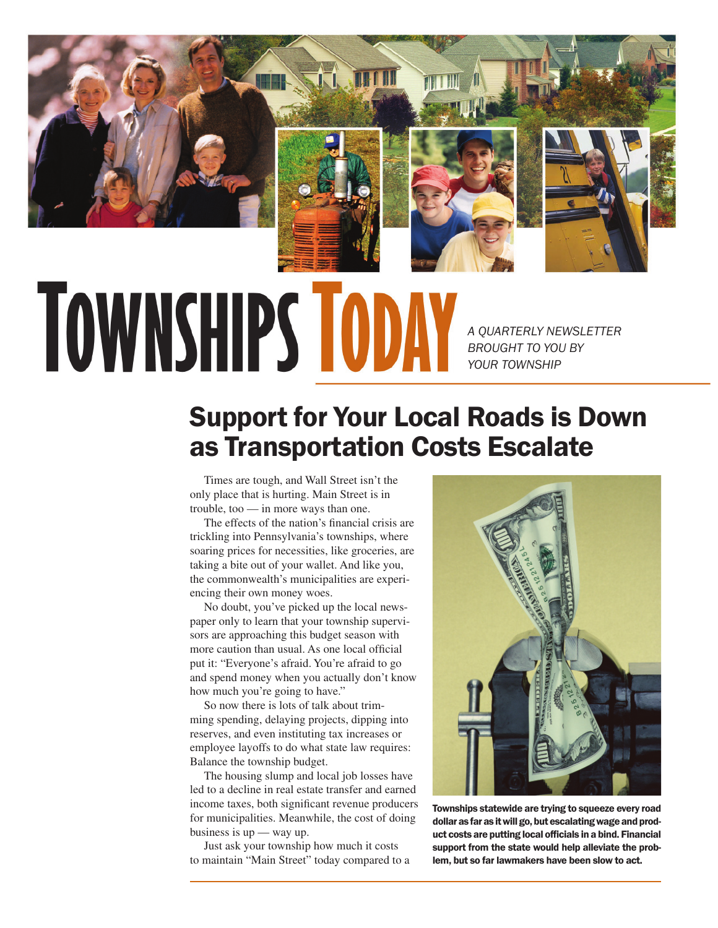

## **TOWNSHIPS TODA**

*A QUARTERLY NEWSLETTER BROUGHT TO YOU BY YOUR TOWNSHIP*

## Support for Your Local Roads is Down as Transportation Costs Escalate

Times are tough, and Wall Street isn't the only place that is hurting. Main Street is in trouble, too — in more ways than one.

The effects of the nation's financial crisis are trickling into Pennsylvania's townships, where soaring prices for necessities, like groceries, are taking a bite out of your wallet. And like you, the commonwealth's municipalities are experiencing their own money woes.

No doubt, you've picked up the local newspaper only to learn that your township supervisors are approaching this budget season with more caution than usual. As one local official put it: "Everyone's afraid. You're afraid to go and spend money when you actually don't know how much you're going to have."

So now there is lots of talk about trimming spending, delaying projects, dipping into reserves, and even instituting tax increases or employee layoffs to do what state law requires: Balance the township budget.

The housing slump and local job losses have led to a decline in real estate transfer and earned income taxes, both significant revenue producers for municipalities. Meanwhile, the cost of doing business is up — way up.

Just ask your township how much it costs to maintain "Main Street" today compared to a



Townships statewide are trying to squeeze every road dollar as far as it will go, but escalating wage and product costs are putting local officials in a bind. Financial support from the state would help alleviate the problem, but so far lawmakers have been slow to act.